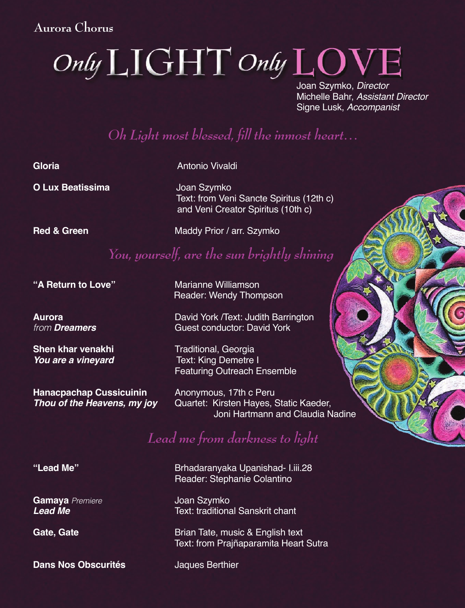#### **Aurora Chorus**

# Only LIGHT Only LOVI

Joan Szymko, Director Michelle Bahr, Assistant Director Signe Lusk, Accompanist

# *Oh Light most blessed, fill the inmost heart…*

**Gloria Antonio Vivaldi** 

**O Lux Beatissima** Joan Szymko

 Text: from Veni Sancte Spiritus (12th c) and Veni Creator Spiritus (10th c)

**Red & Green** Maddy Prior / arr. Szymko

## *You, yourself, are the sun brightly shining*

**"A Return to Love"** Marianne Williamson

**Shen khar venakhi** Traditional, Georgia

**Hanacpachap Cussicuinin** Anonymous, 17th c Peru<br>**Thou of the Heavens, my joy** Quartet: Kirsten Hayes,

Reader: Wendy Thompson

**Aurora Aurora Aurora David York /Text: Judith Barrington**<br>*Suest conductor: David York Cuest conductor: David York* **Guest conductor: David York** 

> **Text: King Demetre I** Featuring Outreach Ensemble

Quartet: Kirsten Hayes, Static Kaeder, Joni Hartmann and Claudia Nadine

# *Lead me from darkness to light*

**Gamaya** Premiere **Camaya** Premiere *Joan Szymko***<br>Lead Me Cambridge Cambridge Controllering** 

**134 Dans Nos Obscurités Chorus Chorus Jaques Dans Nos Obscurités Jaques Berthier** 

**"Lead Me"** Brhadaranyaka Upanishad- I.iii.28 Reader: Stephanie Colantino

**Text: traditional Sanskrit chant** 

**Gate, Gate Gate Brian Tate, music & English text** Text: from Prajñaparamita Heart Sutra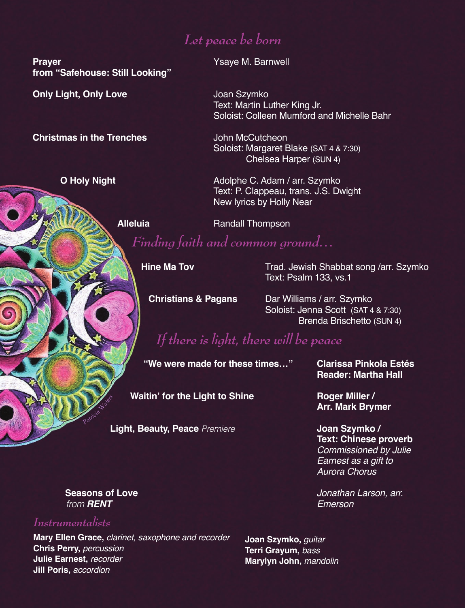## *Let peace be born*

**Prayer Construction Construction Construction Construction Construction Construction Construction Construction from "Safehouse: Still Looking"**

**Only Light, Only Love <b>Concernsive Contract** Joan Szymko

**Christmas in the Trenches John McCutcheon** 

Text: Martin Luther King Jr. Soloist: Colleen Mumford and Michelle Bahr

 Soloist: Margaret Blake (SAT 4 & 7:30) Chelsea Harper (SUN 4)

**O Holy Night**  Adolphe C. Adam / arr. Szymko Text: P. Clappeau, trans. J.S. Dwight New lyrics by Holly Near

**Alleluia Randall Thompson** 

 *Finding faith and common ground…*

**Hine Ma Tov Trad. Jewish Shabbat song /arr. Szymko** Text: Psalm 133, vs.1

**Christians & Pagans Dar Williams / arr. Szymko** Soloist: Jenna Scott (SAT 4 & 7:30) Brenda Brischetto (SUN 4)

*If there is light, there will be peace*

 **"We were made for these times…" Clarissa Pinkola Estés**

**Reader: Martha Hall**

**Waitin' for the Light to Shine Miller / Roger Miller / Arr. Mark Brymer**

**Light, Beauty, Peace** Premiere **Joan Szymko / Text: Chinese proverb** Commissioned by Julie Earnest as a gift to Aurora Chorus

**Seasons of Love Constanting Constanting Constanting Constanting Constanting Constanting Constanting Constanting Constanting Constanting Constanting Constanting Constanting Constanting Constanting Constanting Constanting** 

**from RENT** Emerson

 *Instrumentalists*

**Mary Ellen Grace,** clarinet, saxophone and recorder **Chris Perry,** percussion **Julie Earnest,** recorder **Jill Poris, accordion** 

**Auguin, Dass<br>** *Auguin, mandolin***<br>** *Auguin, mandolin* **Joan Szymko,** guitar **Terri Grayum,** bass **Marylyn John,** mandolin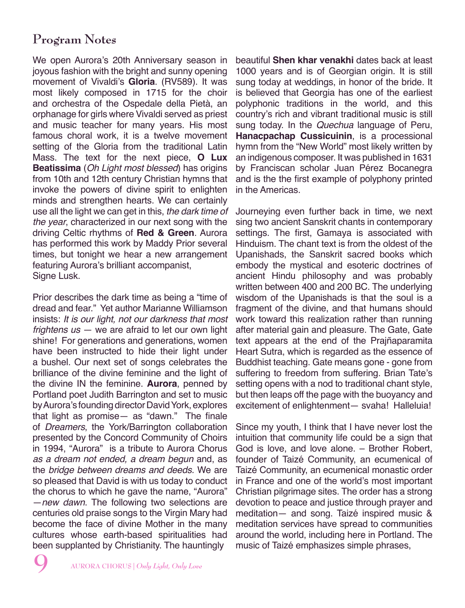### **Program Notes**

We open Aurora's 20th Anniversary season in joyous fashion with the bright and sunny opening movement of Vivaldi's **Gloria**. (RV589). It was most likely composed in 1715 for the choir and orchestra of the Ospedale della Pietà, an orphanage for girls where Vivaldi served as priest and music teacher for many years. His most famous choral work, it is a twelve movement setting of the Gloria from the traditional Latin Mass. The text for the next piece, **O Lux Beatissima** (Oh Light most blessed) has origins from 10th and 12th century Christian hymns that invoke the powers of divine spirit to enlighten minds and strengthen hearts. We can certainly use all the light we can get in this, the dark time of the year, characterized in our next song with the driving Celtic rhythms of **Red & Green**. Aurora has performed this work by Maddy Prior several times, but tonight we hear a new arrangement featuring Aurora's brilliant accompanist, Signe Lusk.

Prior describes the dark time as being a "time of dread and fear." Yet author Marianne Williamson insists: It is our light, not our darkness that most frightens  $us - we$  are afraid to let our own light shine! For generations and generations, women have been instructed to hide their light under a bushel. Our next set of songs celebrates the brilliance of the divine feminine and the light of the divine IN the feminine. **Aurora**, penned by Portland poet Judith Barrington and set to music by Aurora's founding director David York, explores that light as promise— as "dawn." The finale of Dreamers, the York/Barrington collaboration presented by the Concord Community of Choirs in 1994, "Aurora" is a tribute to Aurora Chorus as a dream not ended, a dream begun and, as the bridge between dreams and deeds. We are so pleased that David is with us today to conduct the chorus to which he gave the name, "Aurora" —new dawn. The following two selections are centuries old praise songs to the Virgin Mary had become the face of divine Mother in the many cultures whose earth-based spiritualities had been supplanted by Christianity. The hauntingly

beautiful **Shen khar venakhi** dates back at least 1000 years and is of Georgian origin. It is still sung today at weddings, in honor of the bride. It is believed that Georgia has one of the earliest polyphonic traditions in the world, and this country's rich and vibrant traditional music is still sung today. In the *Quechua* language of Peru, **Hanacpachap Cussicuinin**, is a processional hymn from the "New World" most likely written by an indigenous composer. It was published in 1631 by Franciscan scholar Juan Pérez Bocanegra and is the the first example of polyphony printed in the Americas.

Journeying even further back in time, we next sing two ancient Sanskrit chants in contemporary settings. The first, Gamaya is associated with Hinduism. The chant text is from the oldest of the Upanishads, the Sanskrit sacred books which embody the mystical and esoteric doctrines of ancient Hindu philosophy and was probably written between 400 and 200 BC. The underlying wisdom of the Upanishads is that the soul is a fragment of the divine, and that humans should work toward this realization rather than running after material gain and pleasure. The Gate, Gate text appears at the end of the Prajñaparamita Heart Sutra, which is regarded as the essence of Buddhist teaching. Gate means gone - gone from suffering to freedom from suffering. Brian Tate's setting opens with a nod to traditional chant style, but then leaps off the page with the buoyancy and excitement of enlightenment— svaha! Halleluia!

Since my youth, I think that I have never lost the intuition that community life could be a sign that God is love, and love alone. – Brother Robert, founder of Taizé Community, an ecumenical of Taizé Community, an ecumenical monastic order in France and one of the world's most important Christian pilgrimage sites. The order has a strong devotion to peace and justice through prayer and meditation— and song. Taizé inspired music & meditation services have spread to communities around the world, including here in Portland. The music of Taizé emphasizes simple phrases,